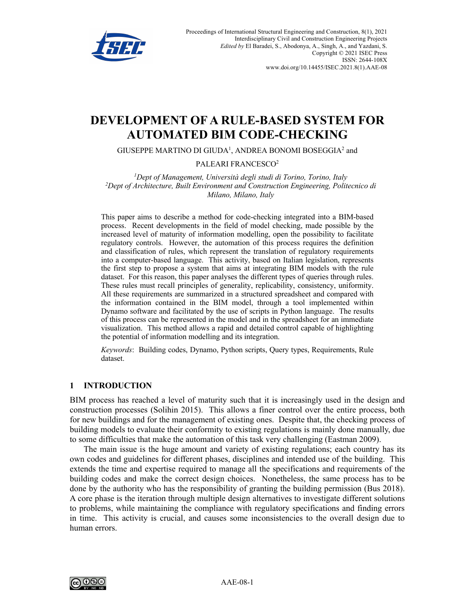

# **DEVELOPMENT OF A RULE-BASED SYSTEM FOR AUTOMATED BIM CODE-CHECKING**

GIUSEPPE MARTINO DI GIUDA<sup>1</sup>, ANDREA BONOMI BOSEGGIA<sup>2</sup> and

#### PALEARI FRANCESCO2

*1 Dept of Management, Università degli studi di Torino, Torino, Italy 2 Dept of Architecture, Built Environment and Construction Engineering, Politecnico di Milano, Milano, Italy*

This paper aims to describe a method for code-checking integrated into a BIM-based process. Recent developments in the field of model checking, made possible by the increased level of maturity of information modelling, open the possibility to facilitate regulatory controls. However, the automation of this process requires the definition and classification of rules, which represent the translation of regulatory requirements into a computer-based language. This activity, based on Italian legislation, represents the first step to propose a system that aims at integrating BIM models with the rule dataset. For this reason, this paper analyses the different types of queries through rules. These rules must recall principles of generality, replicability, consistency, uniformity. All these requirements are summarized in a structured spreadsheet and compared with the information contained in the BIM model, through a tool implemented within Dynamo software and facilitated by the use of scripts in Python language. The results of this process can be represented in the model and in the spreadsheet for an immediate visualization. This method allows a rapid and detailed control capable of highlighting the potential of information modelling and its integration.

*Keywords*: Building codes, Dynamo, Python scripts, Query types, Requirements, Rule dataset.

#### **1 INTRODUCTION**

BIM process has reached a level of maturity such that it is increasingly used in the design and construction processes (Solihin 2015). This allows a finer control over the entire process, both for new buildings and for the management of existing ones. Despite that, the checking process of building models to evaluate their conformity to existing regulations is mainly done manually, due to some difficulties that make the automation of this task very challenging (Eastman 2009).

The main issue is the huge amount and variety of existing regulations; each country has its own codes and guidelines for different phases, disciplines and intended use of the building. This extends the time and expertise required to manage all the specifications and requirements of the building codes and make the correct design choices. Nonetheless, the same process has to be done by the authority who has the responsibility of granting the building permission (Bus 2018). A core phase is the iteration through multiple design alternatives to investigate different solutions to problems, while maintaining the compliance with regulatory specifications and finding errors in time. This activity is crucial, and causes some inconsistencies to the overall design due to human errors.

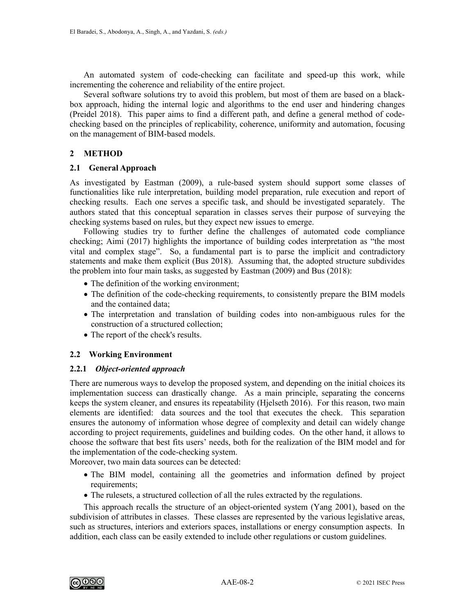An automated system of code-checking can facilitate and speed-up this work, while incrementing the coherence and reliability of the entire project.

Several software solutions try to avoid this problem, but most of them are based on a blackbox approach, hiding the internal logic and algorithms to the end user and hindering changes (Preidel 2018). This paper aims to find a different path, and define a general method of codechecking based on the principles of replicability, coherence, uniformity and automation, focusing on the management of BIM-based models.

# **2 METHOD**

#### **2.1 General Approach**

As investigated by Eastman (2009), a rule-based system should support some classes of functionalities like rule interpretation, building model preparation, rule execution and report of checking results. Each one serves a specific task, and should be investigated separately. The authors stated that this conceptual separation in classes serves their purpose of surveying the checking systems based on rules, but they expect new issues to emerge.

Following studies try to further define the challenges of automated code compliance checking; Aimi (2017) highlights the importance of building codes interpretation as "the most vital and complex stage". So, a fundamental part is to parse the implicit and contradictory statements and make them explicit (Bus 2018). Assuming that, the adopted structure subdivides the problem into four main tasks, as suggested by Eastman (2009) and Bus (2018):

- The definition of the working environment;
- The definition of the code-checking requirements, to consistently prepare the BIM models and the contained data;
- The interpretation and translation of building codes into non-ambiguous rules for the construction of a structured collection;
- The report of the check's results.

# **2.2 Working Environment**

#### **2.2.1** *Object-oriented approach*

There are numerous ways to develop the proposed system, and depending on the initial choices its implementation success can drastically change. As a main principle, separating the concerns keeps the system cleaner, and ensures its repeatability (Hjelseth 2016). For this reason, two main elements are identified: data sources and the tool that executes the check. This separation ensures the autonomy of information whose degree of complexity and detail can widely change according to project requirements, guidelines and building codes. On the other hand, it allows to choose the software that best fits users' needs, both for the realization of the BIM model and for the implementation of the code-checking system.

Moreover, two main data sources can be detected:

- The BIM model, containing all the geometries and information defined by project requirements;
- The rulesets, a structured collection of all the rules extracted by the regulations.

This approach recalls the structure of an object-oriented system (Yang 2001), based on the subdivision of attributes in classes. These classes are represented by the various legislative areas, such as structures, interiors and exteriors spaces, installations or energy consumption aspects. In addition, each class can be easily extended to include other regulations or custom guidelines.

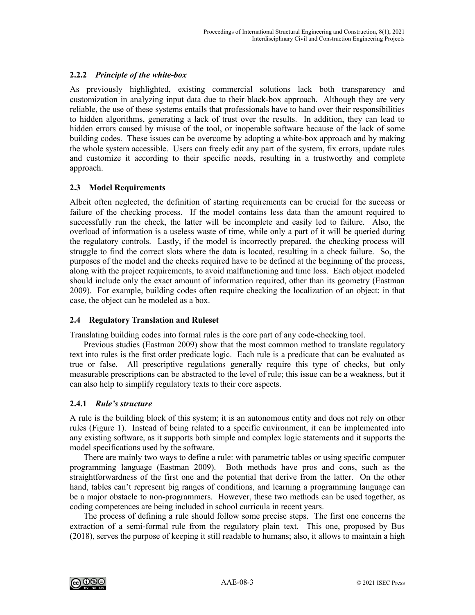# **2.2.2** *Principle of the white-box*

As previously highlighted, existing commercial solutions lack both transparency and customization in analyzing input data due to their black-box approach. Although they are very reliable, the use of these systems entails that professionals have to hand over their responsibilities to hidden algorithms, generating a lack of trust over the results. In addition, they can lead to hidden errors caused by misuse of the tool, or inoperable software because of the lack of some building codes. These issues can be overcome by adopting a white-box approach and by making the whole system accessible. Users can freely edit any part of the system, fix errors, update rules and customize it according to their specific needs, resulting in a trustworthy and complete approach.

# **2.3 Model Requirements**

Albeit often neglected, the definition of starting requirements can be crucial for the success or failure of the checking process. If the model contains less data than the amount required to successfully run the check, the latter will be incomplete and easily led to failure. Also, the overload of information is a useless waste of time, while only a part of it will be queried during the regulatory controls. Lastly, if the model is incorrectly prepared, the checking process will struggle to find the correct slots where the data is located, resulting in a check failure. So, the purposes of the model and the checks required have to be defined at the beginning of the process, along with the project requirements, to avoid malfunctioning and time loss. Each object modeled should include only the exact amount of information required, other than its geometry (Eastman 2009). For example, building codes often require checking the localization of an object: in that case, the object can be modeled as a box.

# **2.4 Regulatory Translation and Ruleset**

Translating building codes into formal rules is the core part of any code-checking tool.

Previous studies (Eastman 2009) show that the most common method to translate regulatory text into rules is the first order predicate logic. Each rule is a predicate that can be evaluated as true or false. All prescriptive regulations generally require this type of checks, but only measurable prescriptions can be abstracted to the level of rule; this issue can be a weakness, but it can also help to simplify regulatory texts to their core aspects.

# **2.4.1** *Rule's structure*

A rule is the building block of this system; it is an autonomous entity and does not rely on other rules (Figure 1). Instead of being related to a specific environment, it can be implemented into any existing software, as it supports both simple and complex logic statements and it supports the model specifications used by the software.

There are mainly two ways to define a rule: with parametric tables or using specific computer programming language (Eastman 2009). Both methods have pros and cons, such as the straightforwardness of the first one and the potential that derive from the latter. On the other hand, tables can't represent big ranges of conditions, and learning a programming language can be a major obstacle to non-programmers. However, these two methods can be used together, as coding competences are being included in school curricula in recent years.

The process of defining a rule should follow some precise steps. The first one concerns the extraction of a semi-formal rule from the regulatory plain text. This one, proposed by Bus (2018), serves the purpose of keeping it still readable to humans; also, it allows to maintain a high

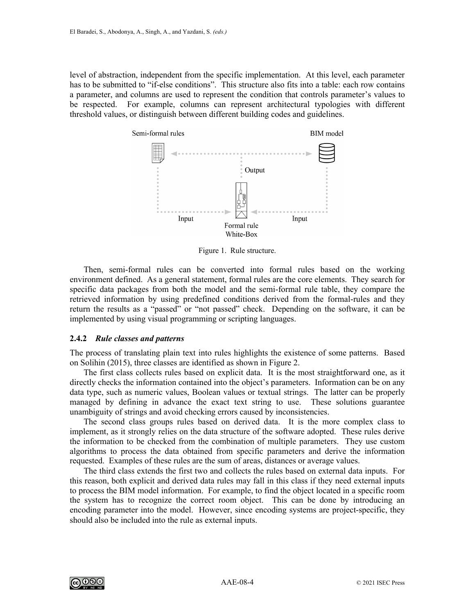level of abstraction, independent from the specific implementation. At this level, each parameter has to be submitted to "if-else conditions". This structure also fits into a table: each row contains a parameter, and columns are used to represent the condition that controls parameter's values to be respected. For example, columns can represent architectural typologies with different threshold values, or distinguish between different building codes and guidelines.



Figure 1. Rule structure.

Then, semi-formal rules can be converted into formal rules based on the working environment defined. As a general statement, formal rules are the core elements. They search for specific data packages from both the model and the semi-formal rule table, they compare the retrieved information by using predefined conditions derived from the formal-rules and they return the results as a "passed" or "not passed" check. Depending on the software, it can be implemented by using visual programming or scripting languages.

#### **2.4.2** *Rule classes and patterns*

The process of translating plain text into rules highlights the existence of some patterns. Based on Solihin (2015), three classes are identified as shown in Figure 2.

The first class collects rules based on explicit data. It is the most straightforward one, as it directly checks the information contained into the object's parameters. Information can be on any data type, such as numeric values, Boolean values or textual strings. The latter can be properly managed by defining in advance the exact text string to use. These solutions guarantee unambiguity of strings and avoid checking errors caused by inconsistencies.

The second class groups rules based on derived data. It is the more complex class to implement, as it strongly relies on the data structure of the software adopted. These rules derive the information to be checked from the combination of multiple parameters. They use custom algorithms to process the data obtained from specific parameters and derive the information requested. Examples of these rules are the sum of areas, distances or average values.

The third class extends the first two and collects the rules based on external data inputs. For this reason, both explicit and derived data rules may fall in this class if they need external inputs to process the BIM model information. For example, to find the object located in a specific room the system has to recognize the correct room object. This can be done by introducing an encoding parameter into the model. However, since encoding systems are project-specific, they should also be included into the rule as external inputs.

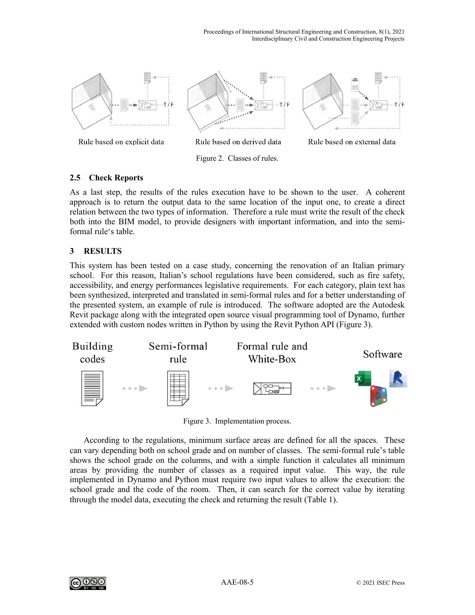

Rule based on explicit data

Rule based on derived data

Figure 2. Classes of rules.



# **2.5 Check Reports**

As a last step, the results of the rules execution have to be shown to the user. A coherent approach is to return the output data to the same location of the input one, to create a direct relation between the two types of information. Therefore a rule must write the result of the check both into the BIM model, to provide designers with important information, and into the semiformal rule's table.

# **3 RESULTS**

This system has been tested on a case study, concerning the renovation of an Italian primary school. For this reason, Italian's school regulations have been considered, such as fire safety, accessibility, and energy performances legislative requirements. For each category, plain text has been synthesized, interpreted and translated in semi-formal rules and for a better understanding of the presented system, an example of rule is introduced. The software adopted are the Autodesk Revit package along with the integrated open source visual programming tool of Dynamo, further extended with custom nodes written in Python by using the Revit Python API (Figure 3).



Figure 3. Implementation process.

According to the regulations, minimum surface areas are defined for all the spaces. These can vary depending both on school grade and on number of classes. The semi-formal rule's table shows the school grade on the columns, and with a simple function it calculates all minimum areas by providing the number of classes as a required input value. This way, the rule implemented in Dynamo and Python must require two input values to allow the execution: the school grade and the code of the room. Then, it can search for the correct value by iterating through the model data, executing the check and returning the result (Table 1).